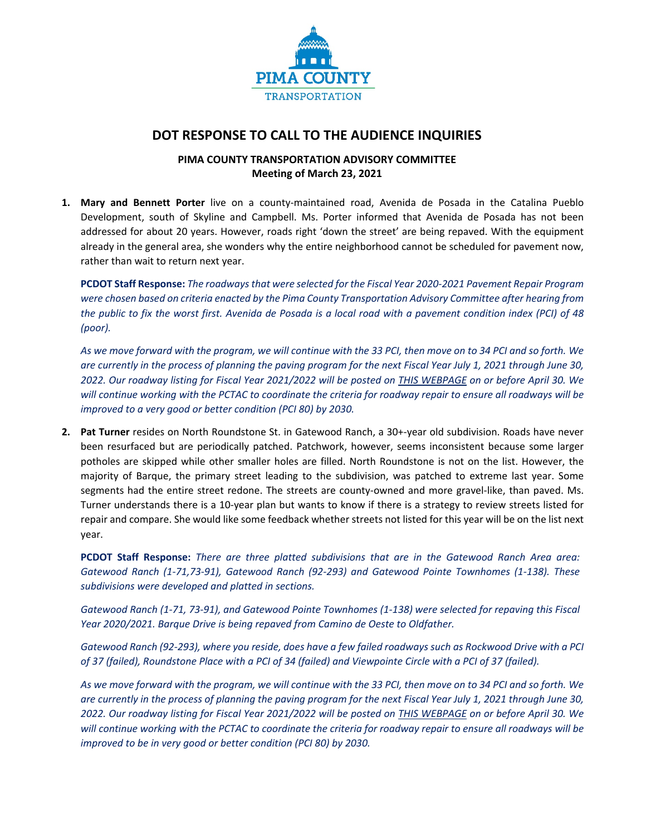

## **DOT RESPONSE TO CALL TO THE AUDIENCE INQUIRIES**

## **PIMA COUNTY TRANSPORTATION ADVISORY COMMITTEE Meeting of March 23, 2021**

**1. Mary and Bennett Porter** live on a county-maintained road, Avenida de Posada in the Catalina Pueblo Development, south of Skyline and Campbell. Ms. Porter informed that Avenida de Posada has not been addressed for about 20 years. However, roads right 'down the street' are being repaved. With the equipment already in the general area, she wonders why the entire neighborhood cannot be scheduled for pavement now, rather than wait to return next year.

**PCDOT Staff Response:** *The roadways that were selected for the Fiscal Year 2020-2021 Pavement Repair Program were chosen based on criteria enacted by the Pima County Transportation Advisory Committee after hearing from the public to fix the worst first. Avenida de Posada is a local road with a pavement condition index (PCI) of 48 (poor).*

*As we move forward with the program, we will continue with the 33 PCI, then move on to 34 PCI and so forth. We are currently in the process of planning the paving program for the next Fiscal Year July 1, 2021 through June 30, 2022. Our roadway listing for Fiscal Year 2021/2022 will be posted on [THIS WEBPAGE](https://webcms.pima.gov/cms/One.aspx?portalId=169&pageId=53289) on or before April 30. We will continue working with the PCTAC to coordinate the criteria for roadway repair to ensure all roadways will be improved to a very good or better condition (PCI 80) by 2030.*

**2. Pat Turner** resides on North Roundstone St. in Gatewood Ranch, a 30+-year old subdivision. Roads have never been resurfaced but are periodically patched. Patchwork, however, seems inconsistent because some larger potholes are skipped while other smaller holes are filled. North Roundstone is not on the list. However, the majority of Barque, the primary street leading to the subdivision, was patched to extreme last year. Some segments had the entire street redone. The streets are county-owned and more gravel-like, than paved. Ms. Turner understands there is a 10-year plan but wants to know if there is a strategy to review streets listed for repair and compare. She would like some feedback whether streets not listed for this year will be on the list next year.

**PCDOT Staff Response:** *There are three platted subdivisions that are in the Gatewood Ranch Area area: Gatewood Ranch (1-71,73-91), Gatewood Ranch (92-293) and Gatewood Pointe Townhomes (1-138). These subdivisions were developed and platted in sections.*

*Gatewood Ranch (1-71, 73-91), and Gatewood Pointe Townhomes (1-138) were selected for repaving this Fiscal Year 2020/2021. Barque Drive is being repaved from Camino de Oeste to Oldfather.*

*Gatewood Ranch (92-293), where you reside, does have a few failed roadways such as Rockwood Drive with a PCI of 37 (failed), Roundstone Place with a PCI of 34 (failed) and Viewpointe Circle with a PCI of 37 (failed).*

*As we move forward with the program, we will continue with the 33 PCI, then move on to 34 PCI and so forth. We are currently in the process of planning the paving program for the next Fiscal Year July 1, 2021 through June 30, 2022. Our roadway listing for Fiscal Year 2021/2022 will be posted on [THIS WEBPAGE](https://webcms.pima.gov/cms/One.aspx?portalId=169&pageId=53289) on or before April 30. We will continue working with the PCTAC to coordinate the criteria for roadway repair to ensure all roadways will be improved to be in very good or better condition (PCI 80) by 2030.*